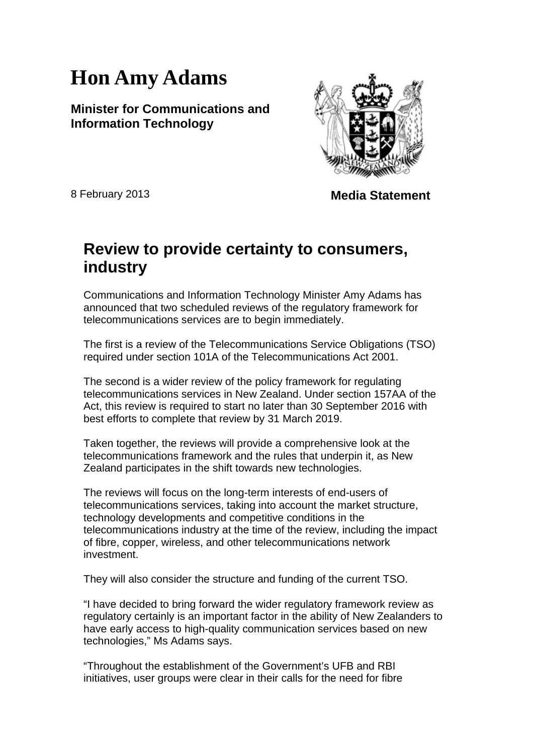## **Hon Amy Adams**

**Minister for Communications and Information Technology**



8 February 2013 **Media Statement**

## **Review to provide certainty to consumers, industry**

Communications and Information Technology Minister Amy Adams has announced that two scheduled reviews of the regulatory framework for telecommunications services are to begin immediately.

The first is a review of the Telecommunications Service Obligations (TSO) required under section 101A of the Telecommunications Act 2001.

The second is a wider review of the policy framework for regulating telecommunications services in New Zealand. Under section 157AA of the Act, this review is required to start no later than 30 September 2016 with best efforts to complete that review by 31 March 2019.

Taken together, the reviews will provide a comprehensive look at the telecommunications framework and the rules that underpin it, as New Zealand participates in the shift towards new technologies.

The reviews will focus on the long-term interests of end-users of telecommunications services, taking into account the market structure, technology developments and competitive conditions in the telecommunications industry at the time of the review, including the impact of fibre, copper, wireless, and other telecommunications network investment.

They will also consider the structure and funding of the current TSO.

"I have decided to bring forward the wider regulatory framework review as regulatory certainly is an important factor in the ability of New Zealanders to have early access to high-quality communication services based on new technologies," Ms Adams says.

"Throughout the establishment of the Government's UFB and RBI initiatives, user groups were clear in their calls for the need for fibre